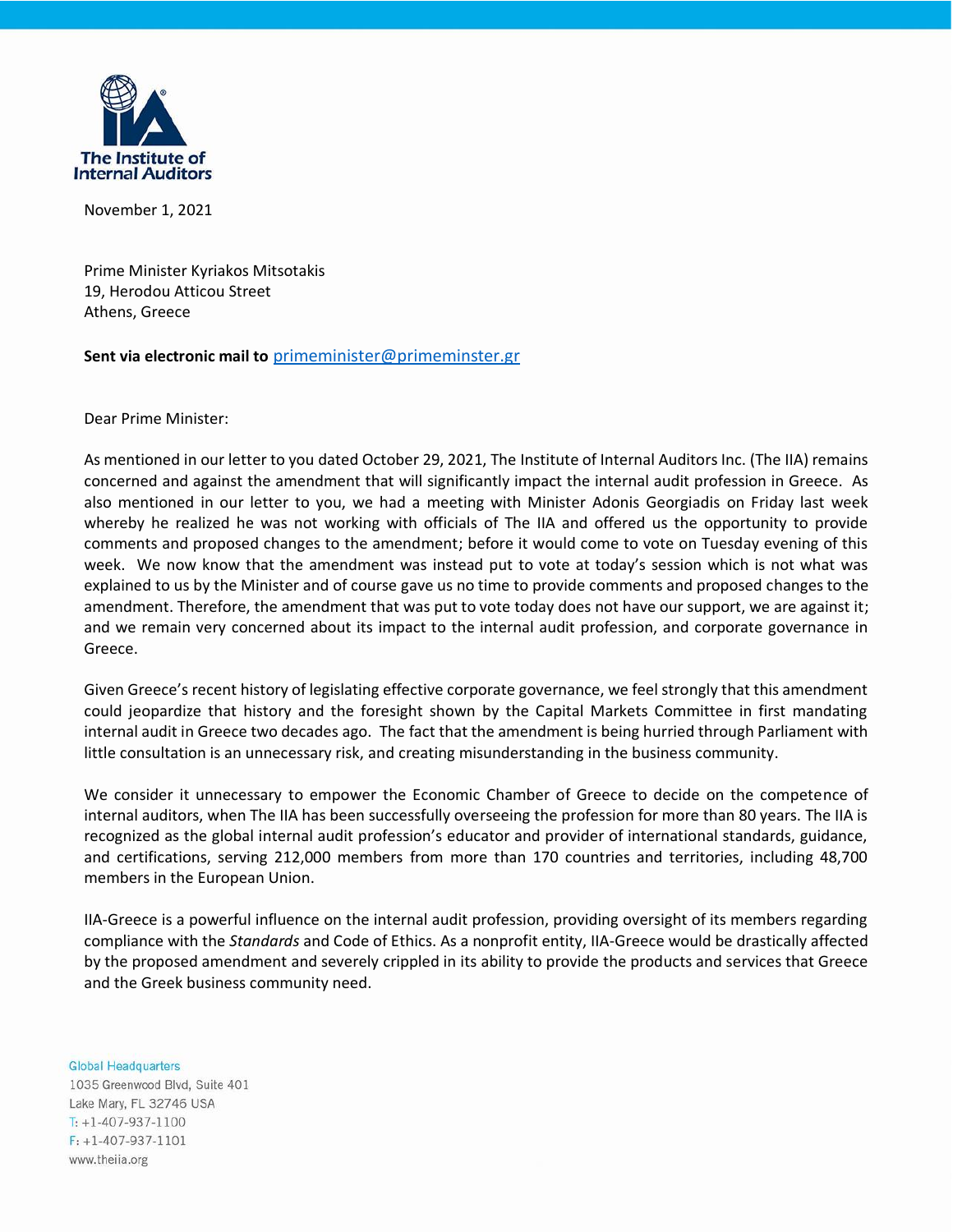

November 1, 2021

Prime Minister Kyriakos Mitsotakis 19, Herodou Atticou Street Athens, Greece

## **Sent via electronic mail to** [primeminister@primeminster.gr](mailto:primeminister@primeminster.gr)

Dear Prime Minister:

As mentioned in our letter to you dated October 29, 2021, The Institute of Internal Auditors Inc. (The IIA) remains concerned and against the amendment that will significantly impact the internal audit profession in Greece. As also mentioned in our letter to you, we had a meeting with Minister Adonis Georgiadis on Friday last week whereby he realized he was not working with officials of The IIA and offered us the opportunity to provide comments and proposed changes to the amendment; before it would come to vote on Tuesday evening of this week. We now know that the amendment was instead put to vote at today's session which is not what was explained to us by the Minister and of course gave us no time to provide comments and proposed changes to the amendment. Therefore, the amendment that was put to vote today does not have our support, we are against it; and we remain very concerned about its impact to the internal audit profession, and corporate governance in Greece.

Given Greece's recent history of legislating effective corporate governance, we feel strongly that this amendment could jeopardize that history and the foresight shown by the Capital Markets Committee in first mandating internal audit in Greece two decades ago. The fact that the amendment is being hurried through Parliament with little consultation is an unnecessary risk, and creating misunderstanding in the business community.

We consider it unnecessary to empower the Economic Chamber of Greece to decide on the competence of internal auditors, when The IIA has been successfully overseeing the profession for more than 80 years. The IIA is recognized as the global internal audit profession's educator and provider of international standards, guidance, and certifications, serving 212,000 members from more than 170 countries and territories, including 48,700 members in the European Union.

IIA-Greece is a powerful influence on the internal audit profession, providing oversight of its members regarding compliance with the *Standards* and Code of Ethics. As a nonprofit entity, IIA-Greece would be drastically affected by the proposed amendment and severely crippled in its ability to provide the products and services that Greece and the Greek business community need.

**Global Headquarters** 1035 Greenwood Blvd, Suite 401 Lake Mary, FL 32746 USA  $T: +1-407-937-1100$  $F: +1-407-937-1101$ www.theiia.org